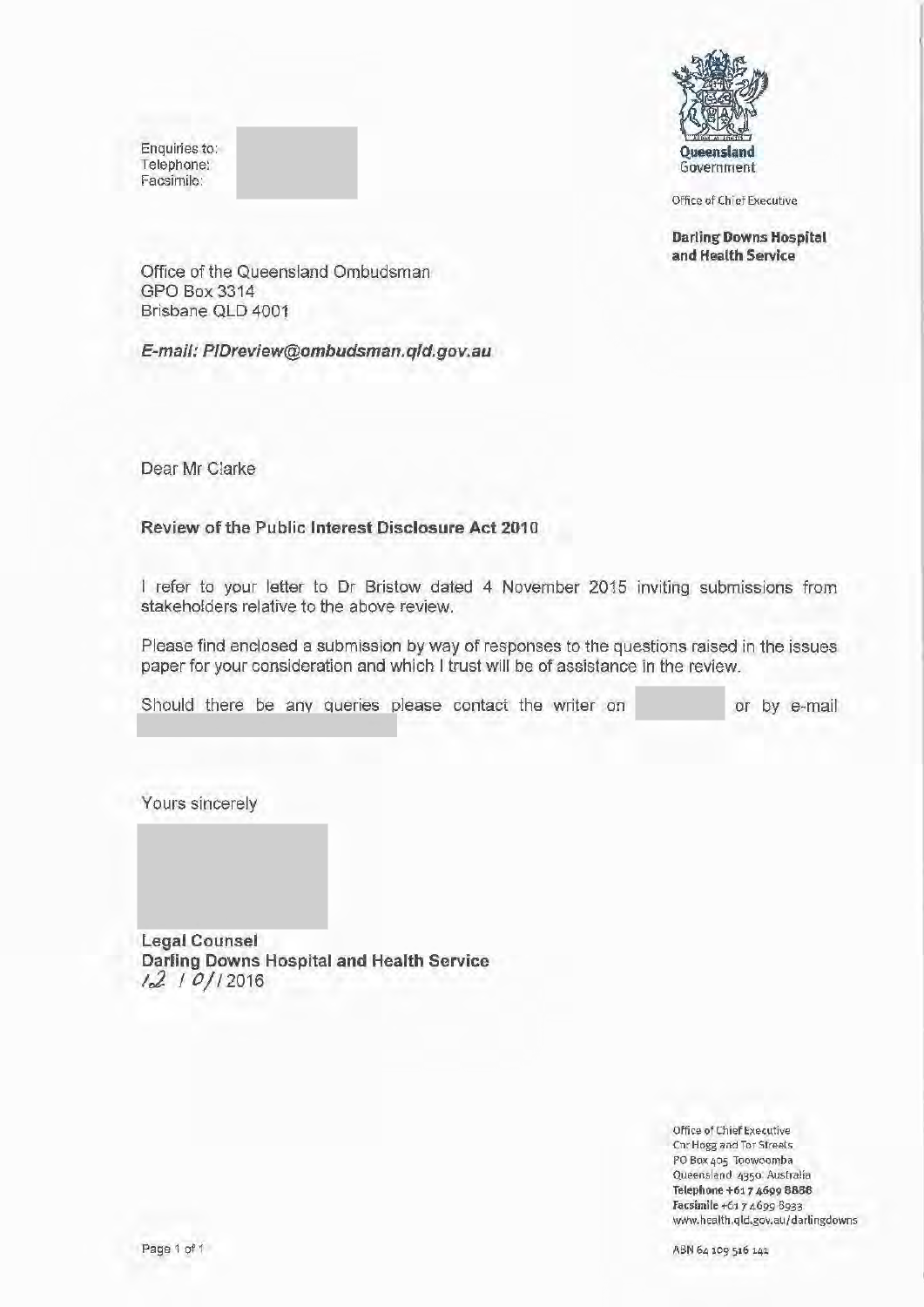Enquiries to: Telephone: Facsimile:



Office of Chief Executive

Darling Downs Hospital and Health Service

Office of the Queensland Ombudsman GPO Box 3314 Brisbane QLD 4001

E-mail: P/Dreview@ombudsman.qld.gov.au

Dear Mr Clarke

# Review of the Public Interest Disclosure Act 2010

I refer to your letter to Dr Bristow dated 4 November 2015 inviting submissions from stakeholders relative to the above review.

Please find enclosed a submission by way of responses to the questions raised in the issues paper for your consideration and which I trust will be of assistance in the review.

Should there be any queries please contact the writer on or by e-mail

Yours sincerely

Legal Counsel Darling Downs Hospital and Health Service *1o2. I* 0/12016

> Office ofChief Executive Cnr Hogg and Tor Streets PO Box 405 Toowoomba Queensland 43\$0 Australia Telephone +617 4699 8888 Facsimile +61 *7* 4699 8933 www.health.qld.gov.au/darlingdowns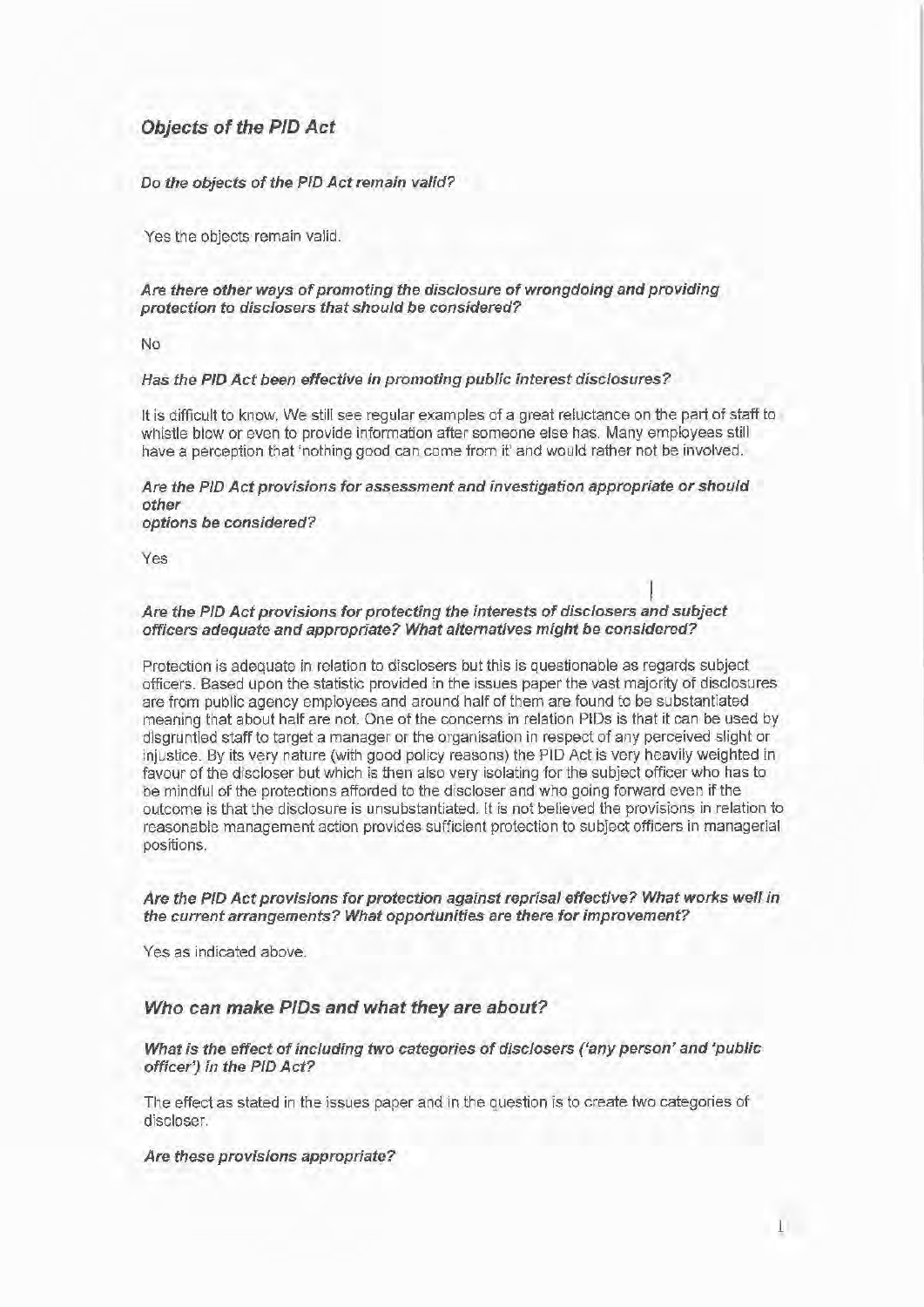# **Objects of the PID Act**

#### Do the objects of the PID Act remain valid?

Yes the objects remain valid.

### Are there other ways of promoting the disclosure of wrongdoing and providing protection to disclosers that should be considered?

No

#### Has the PID Act been effective in promoting public interest disclosures?

It is difficult to know. We still see regular examples of a great reluctance on the part of staff to whistle blow or even to provide information after someone else has. Many employees still have a perception that 'nothing good can come from it' and would rather not be involved.

#### Are the PID Act provisions for assessment and investigation appropriate or should other options be considered?

Yes

# I Are the PID Act provisions for protecting the interests of disclosers and subject officers adequate and appropriate? What alternatives might be considered?

Protection is adequate in relation to disclosers but this is questionable as regards subject officers. Based upon the statistic provided in the issues paper the vast majority of disclosures are from public agency employees and around half of them are found to be substantiated meaning that about half are not. One of the concerns in relation PIDs is that it can be used by disgruntled staff to target a manager or the organisation in respect of any perceived slight or injustice. By its very nature (with good policy reasons) the PID Act is very heavily weighted in favour of the discloser but which is then also very isolating for the subject officer who has to be mindful of the protections afforded to the discloser and who going forward even if the outcome is that the disclosure is unsubstantiated. It is not believed the provisions in relation to reasonable management action provides sufficient protection to subject officers in managerial positions.

#### Are the PID Act provisions for protection against reprisal effective? What works well in the current arrangements? What opportunities are there for improvement?

Yes as indicated above.

# **Who can make P/Ds and what they are about?**

### What is the effect of including two categories of disclosers ('any person' and 'public officer') in the PID Act?

The effect as stated in the issues paper and in the question is to create two categories of discloser.

#### Are these provisions appropriate?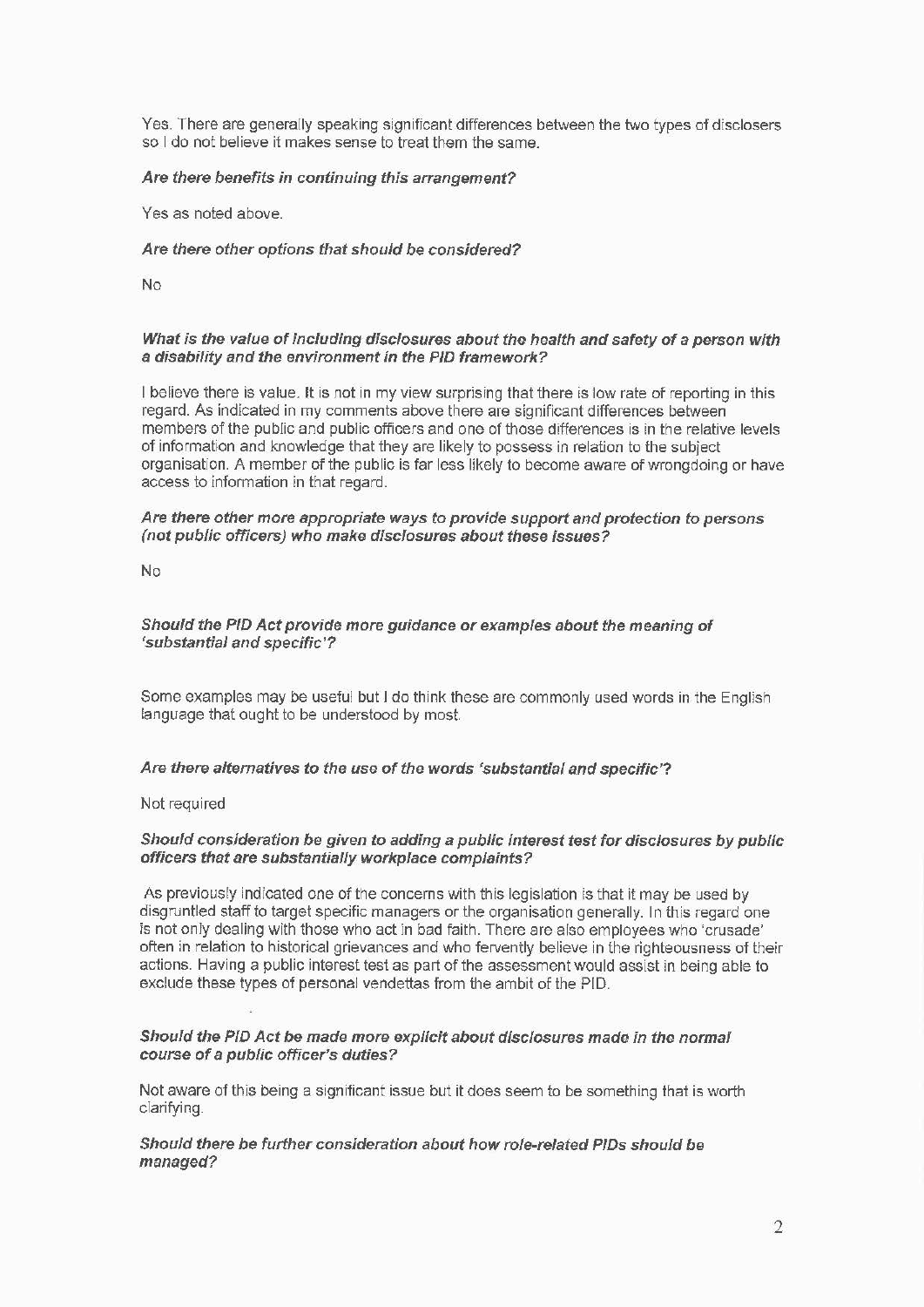Yes. There are generally speaking significant differences between the two types of disclosers so I do not believe it makes sense to treat them the same.

### Are there benefits in continuing this arrangement?

Yes as noted above.

#### Are there other options that should be considered?

No

#### What is the value of including disclosures about the health and safety of a person with a disability and the environment in the PID framework?

I believe there is value. It is not in my view surprising that there is low rate of reporting in this regard. As indicated in my comments above there are significant differences between members of the public and public officers and one of those differences is in the relative levels of information and knowledge that they are likely to possess in relation to the subject organisation. A member of the public is far less likely to become aware of wrongdoing or have access to information in that regard.

#### Are there other more appropriate ways to provide support and protection to persons (not public officers) who make disclosures about these issues?

No

### Should the PID Act provide more guidance or examples about the meaning of 'substantial and specific'?

Some examples may be useful but I do think these are commonly used words in the English language that ought to be understood by most.

#### Are there alternatives to the use of the words 'substantial and specific'?

Not required

#### Should consideration be given to adding a public interest test for disclosures by public officers that are substantially workplace complaints?

As previously indicated one of the concerns with this legislation is that it may be used by disgruntled staff to target specific managers or the organisation generally. In this regard one is not only dealing with those who act in bad faith. There are also employees who 'crusade' often in relation to historical grievances and who fervently believe in the righteousness of their actions. Having a public interest test as part of the assessment would assist in being able to exclude these types of personal vendettas from the ambit of the PIO.

### Should the PID Act be made more explicit about disclosures made in the normal course of a public officer's duties?

Not aware of this being a significant issue but it does seem to be something that is worth clarifying.

### Should there be further consideration about how role-related PIDs should be managed?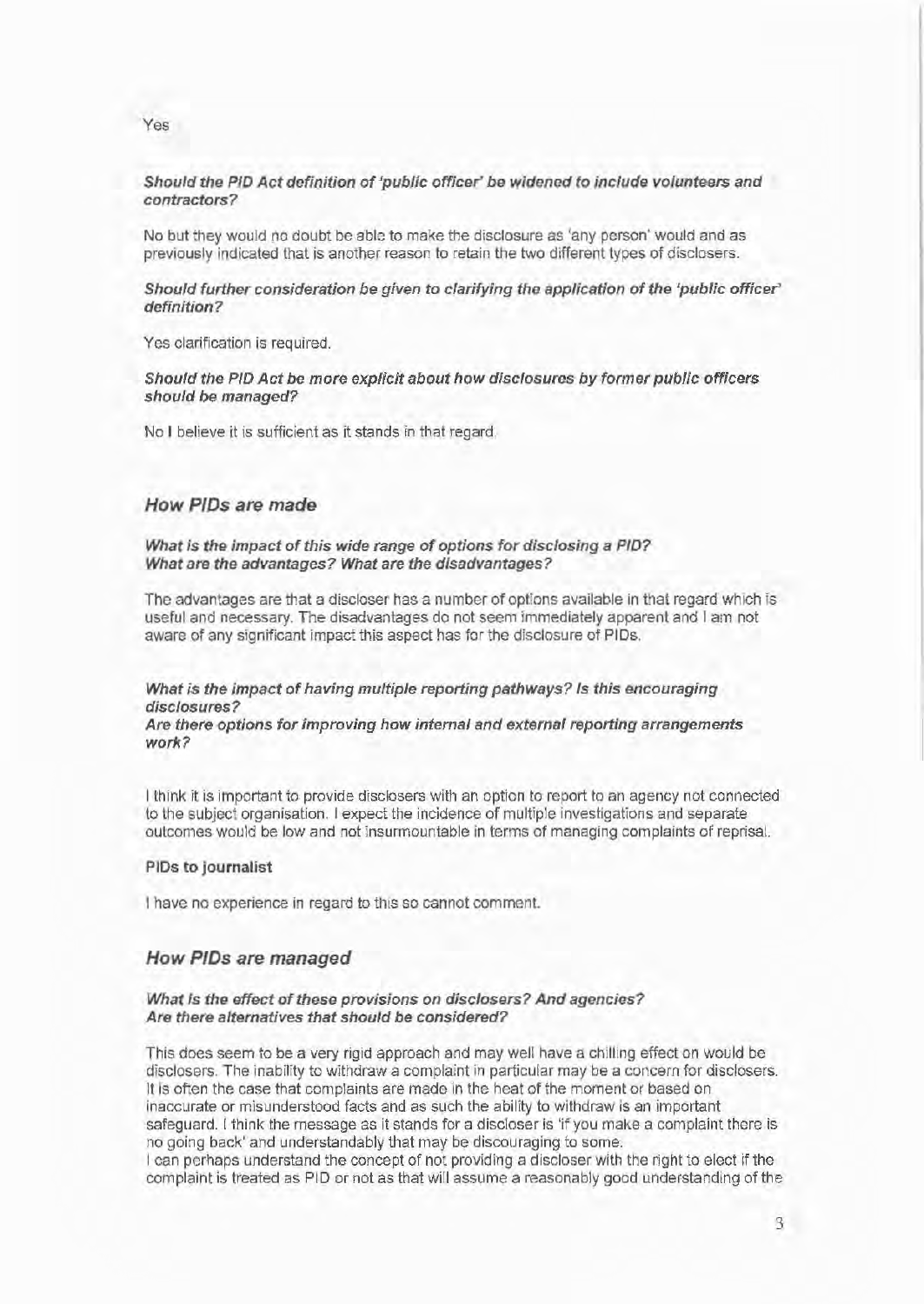### Should the PID Act definition of 'public officer' be widened to include volunteers and contractors?

No but they would no doubt be able to make the disclosure as 'any person' would and as previously indicated that is another reason to retain the two different types of disclosers.

#### Should further consideration be given to clarifying the application of the 'public officer' definition?

Yes clarification is required.

Should the PIO Act be more explicit about how disclosures by former public officers should be managed?

No I believe it is sufficient as it stands in that regard.

# How P/Ds are made

What is the impact of this wide range of options for disclosing a PID? What are the advantages? What are the disadvantages?

The advantages are that a discloser has a number of options available in that regard which is useful and necessary. The disadvantages do not seem immediately apparent and I am not aware of any significant impact this aspect has for the disclosure of PIDs.

### What is the impact of having multiple reporting pathways? Is this encouraging disclosures?

#### Are there options for improving how internal and external reporting arrangements work?

I think it is important to provide disclosers with an option to report to an agency not connected to the subject organisation. I expect the incidence of multiple investigations and separate outcomes would be low and not insurmountable in terms of managing complaints of reprisal.

#### PIDs to journalist

I have no experience in regard to this so cannot comment.

### How P/Ds are managed

#### What is the effect of these provisions on disclosers? And agencies? Are there alternatives that should be considered'?

This does seem to be a very rigid approach and may well have a chilling effect on would be disclosers. The inability to withdraw a complaint in particular may be a concern for disclosers. It is often the case that complaints are made in the heat of the moment or based on inaccurate or misunderstood facts and as such the ability to withdraw is an important safeguard. I think the message as it stands for a discloser is 'if you make a complaint there is no going back' and understandably that may be discouraging to some. I can perhaps understand the concept of not providing a discloser with the right to elect if the complaint is treated as PID or not as that will assume a reasonably good understanding of the

Yes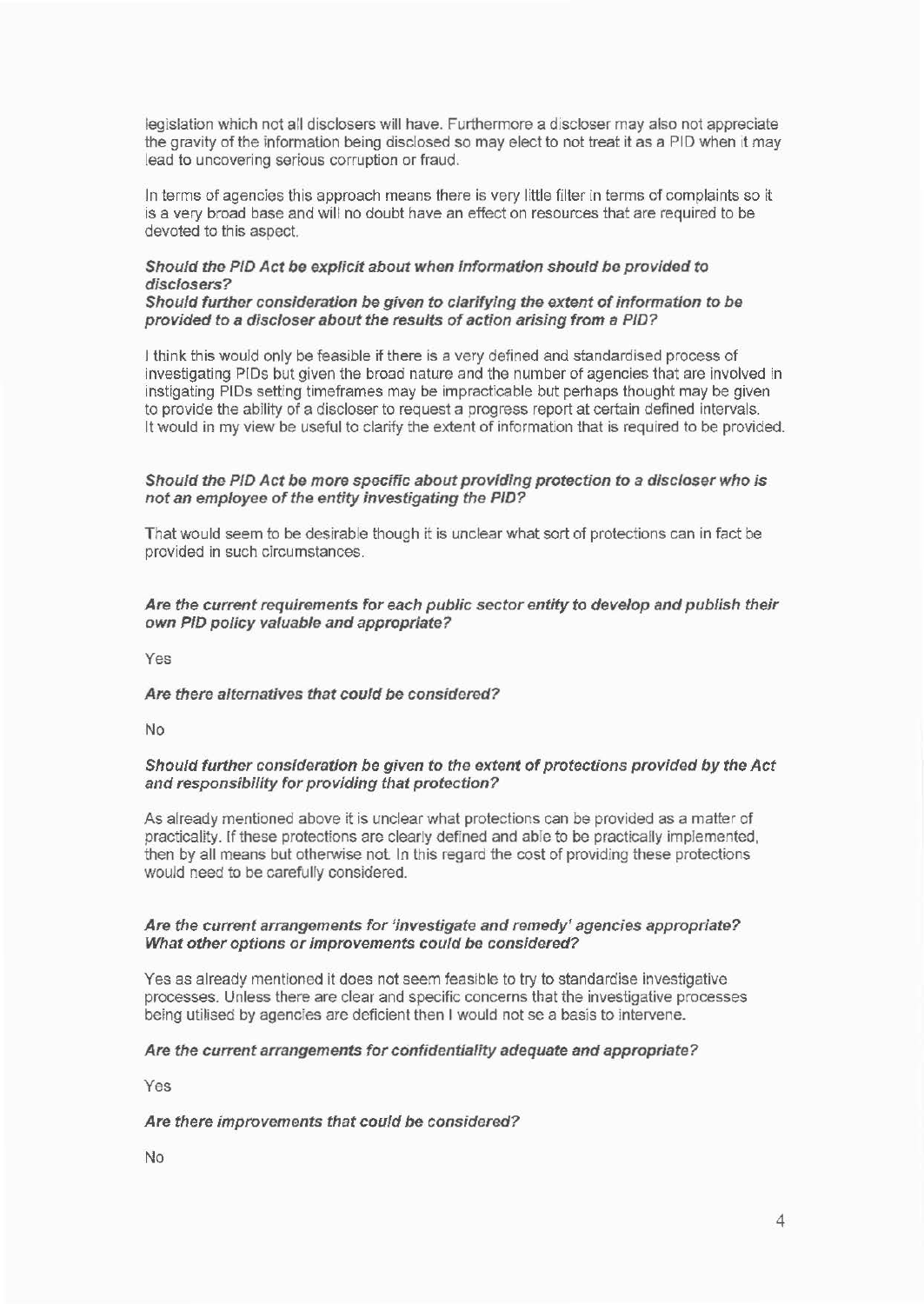legislation which not all disclosers will have. Furthermore a discloser may also not appreciate the gravity of the information being disclosed so may elect to not treat it as a PIO when it may lead to uncovering serious corruption or fraud.

Jn terms of agencies this approach means there is very little filter in terms of complaints so it is a very broad base and will no doubt have an effect on resources that are required to be devoted to this aspect.

### Should the PID Act be explicit about when information should be provided to disclosers?

### Should further consideration be given to clarifying the extent ofinformation to be provided to a discloser about the results of action arising from a PID?

I think this would only be feasible if there is a very defined and standardised process of investigating PIDs but given the broad nature and the number of agencies that are involved in instigating PIDs setting timeframes may be impracticable but perhaps thought may be given to provide the ability of a discloser to request a progress report at certain defined intervals. It would in my view be useful to clarify the extent of information that is required to be provided.

### Should the PID Act be more specific about providing protection to a discloser who is not an employee of the entity investigating the PID?

That would seem to be desirable though it is unclear what sort of protections can in fact be provided in such circumstances.

### Are the current requirements for each public sector entity to develop and publish their own PID policy valuable and appropriate?

Yes

### Are there alternatives that could be considered?

No

### Should further consideration be given to the extent of protections provided by the Act and responsibility for providing that protection?

As already mentioned above it is unclear what protections can be provided as a matter of practicality. If these protections are clearly defined and able to be practically implemented, then by all means but otherwise not In this regard the cost of providing these protections would need to be carefully considered.

#### Are the current arrangements for 'investigate and remedy' agencies appropriate? What other options or improvements could be considered?

Yes as already mentioned it does not seem feasible to try to standardise investigative processes. Unless there are clear and specific concerns that the investigative processes being utilised by agencies are deficient then I would not se a basis to intervene.

### Are the current arrangements for confidentiality adequate and appropriate?

Yes

### Are there improvements that could be considered?

No